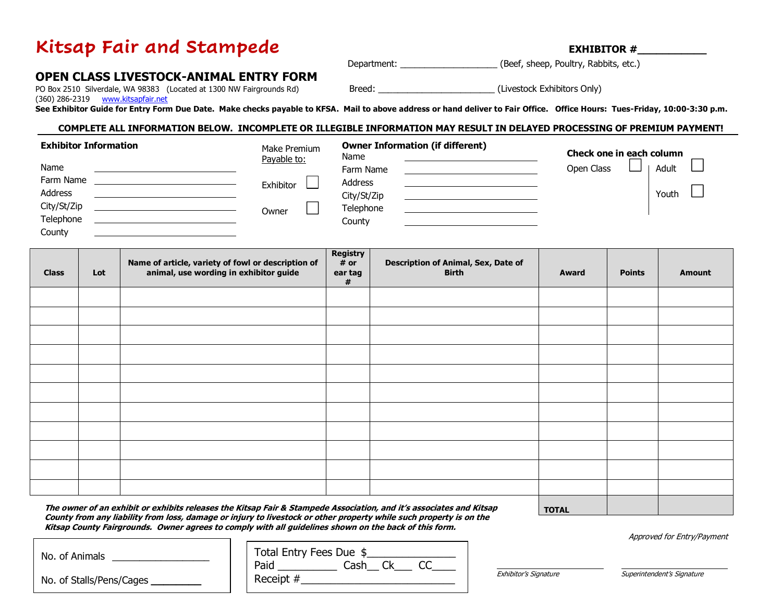# Kitsap Fair and Stampede **EXHIBITOR #**

Department: \_\_\_\_\_\_\_\_\_\_\_\_\_\_\_\_\_\_\_\_\_\_\_\_\_\_\_ (Beef, sheep, Poultry, Rabbits, etc.)

# **OPEN CLASS LIVESTOCK-ANIMAL ENTRY FORM**

(360) 286-2319 [www.kitsapfair.net](http://www.kitsapfair.net/)

PO Box 2510 Silverdale, WA 98383 (Located at 1300 NW Fairgrounds Rd) Breed: \_\_\_\_\_\_\_\_\_\_\_\_\_\_\_\_\_\_\_\_\_\_\_\_\_\_\_\_\_\_\_\_\_\_(Livestock Exhibitors Only)

**See Exhibitor Guide for Entry Form Due Date. Make checks payable to KFSA. Mail to above address or hand deliver to Fair Office. Office Hours: Tues-Friday, 10:00-3:30 p.m.**

# **COMPLETE ALL INFORMATION BELOW. INCOMPLETE OR ILLEGIBLE INFORMATION MAY RESULT IN DELAYED PROCESSING OF PREMIUM PAYMENT!**

| <b>Exhibitor Information</b> | Make Premium<br>Payable to: | <b>Owner Information (if different)</b><br>Name | Check one in each column |
|------------------------------|-----------------------------|-------------------------------------------------|--------------------------|
| Name                         |                             | Farm Name                                       | Adult<br>Open Class      |
| Farm Name                    | Exhibitor                   | Address                                         |                          |
| Address                      |                             | City/St/Zip                                     | Youth                    |
| City/St/Zip                  | Owner                       | Telephone                                       |                          |
| Telephone                    |                             | County                                          |                          |
| County                       |                             |                                                 |                          |

| <b>Class</b> | Lot | Name of article, variety of fowl or description of<br>animal, use wording in exhibitor guide | Registry<br># or<br>ear tag<br># | Description of Animal, Sex, Date of<br><b>Birth</b> | Award | <b>Points</b> | <b>Amount</b> |
|--------------|-----|----------------------------------------------------------------------------------------------|----------------------------------|-----------------------------------------------------|-------|---------------|---------------|
|              |     |                                                                                              |                                  |                                                     |       |               |               |
|              |     |                                                                                              |                                  |                                                     |       |               |               |
|              |     |                                                                                              |                                  |                                                     |       |               |               |
|              |     |                                                                                              |                                  |                                                     |       |               |               |
|              |     |                                                                                              |                                  |                                                     |       |               |               |
|              |     |                                                                                              |                                  |                                                     |       |               |               |
|              |     |                                                                                              |                                  |                                                     |       |               |               |
|              |     |                                                                                              |                                  |                                                     |       |               |               |
|              |     |                                                                                              |                                  |                                                     |       |               |               |
|              |     |                                                                                              |                                  |                                                     |       |               |               |
|              |     |                                                                                              |                                  |                                                     |       |               |               |

**The owner of an exhibit or exhibits releases the Kitsap Fair & Stampede Association, and it's associates and Kitsap County from any liability from loss, damage or injury to livestock or other property while such property is on the Kitsap County Fairgrounds. Owner agrees to comply with all guidelines shown on the back of this form.**

Approved for Entry/Payment

| No. of Animals           | Total Entry Fees Due \$ |
|--------------------------|-------------------------|
|                          | Paid<br>Cash            |
| No. of Stalls/Pens/Cages | Receipt #               |

**TOTAL**